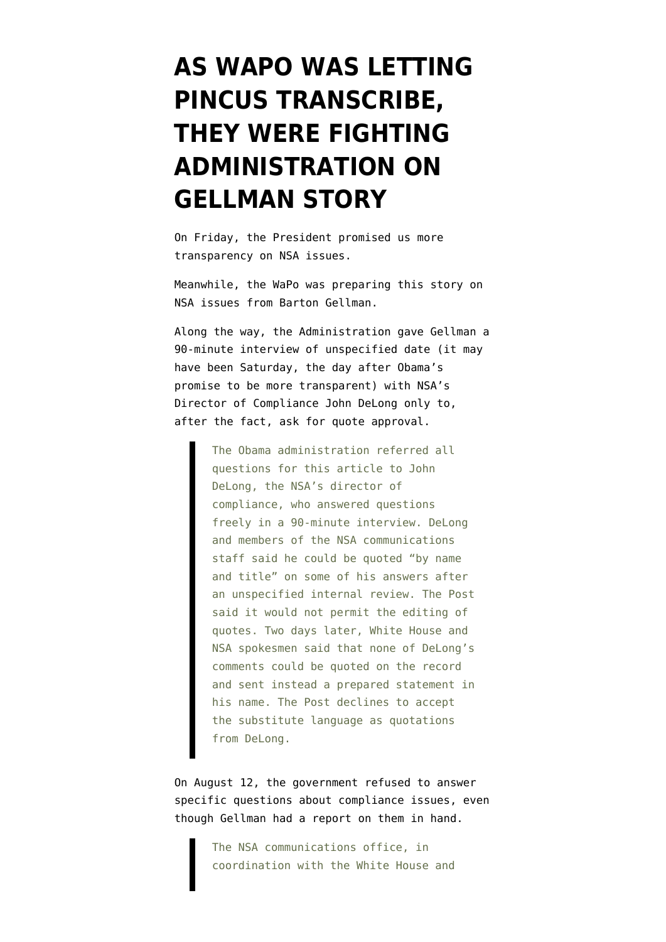## **[AS WAPO WAS LETTING](https://www.emptywheel.net/2013/08/15/as-wapo-was-letting-pincus-transcribe-they-were-fighting-administration-on-gellman-story/) [PINCUS TRANSCRIBE,](https://www.emptywheel.net/2013/08/15/as-wapo-was-letting-pincus-transcribe-they-were-fighting-administration-on-gellman-story/) [THEY WERE FIGHTING](https://www.emptywheel.net/2013/08/15/as-wapo-was-letting-pincus-transcribe-they-were-fighting-administration-on-gellman-story/) [ADMINISTRATION ON](https://www.emptywheel.net/2013/08/15/as-wapo-was-letting-pincus-transcribe-they-were-fighting-administration-on-gellman-story/) [GELLMAN STORY](https://www.emptywheel.net/2013/08/15/as-wapo-was-letting-pincus-transcribe-they-were-fighting-administration-on-gellman-story/)**

On Friday, the President promised us more transparency on NSA issues.

Meanwhile, the WaPo was preparing [this story](http://www.washingtonpost.com/world/national-security/nsa-broke-privacy-rules-thousands-of-times-per-year-audit-finds/2013/08/15/3310e554-05ca-11e3-a07f-49ddc7417125_print.html) on NSA issues from Barton Gellman.

Along the way, the Administration [gave](http://www.washingtonpost.com/world/national-security/nsa-statements-to-the-post/2013/08/15/f40dd2c4-05d6-11e3-a07f-49ddc7417125_story.html) Gellman a 90-minute interview of unspecified date (it may have been Saturday, the day after Obama's promise to be more transparent) with NSA's Director of Compliance John DeLong only to, after the fact, ask for quote approval.

> The Obama administration referred all questions for this article to John DeLong, the NSA's director of compliance, who answered questions freely in a 90-minute interview. DeLong and members of the NSA communications staff said he could be quoted "by name and title" on some of his answers after an unspecified internal review. The Post said it would not permit the editing of quotes. Two days later, White House and NSA spokesmen said that none of DeLong's comments could be quoted on the record and sent instead a prepared statement in his name. The Post declines to accept the substitute language as quotations from DeLong.

On August 12, the government refused to answer specific questions about compliance issues, even though Gellman had a report on them in hand.

> The NSA communications office, in coordination with the White House and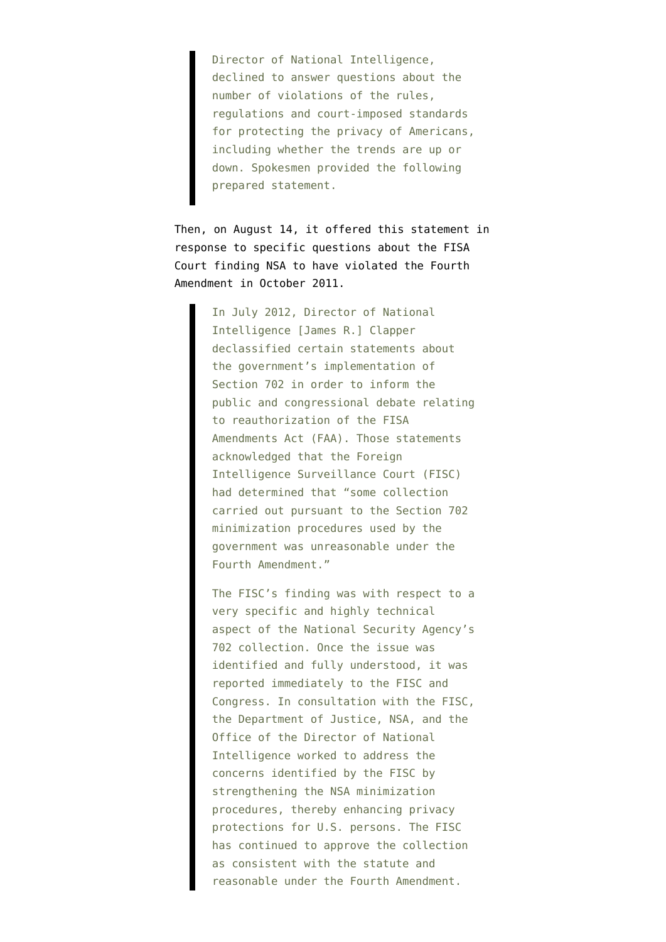Director of National Intelligence, declined to answer questions about the number of violations of the rules, regulations and court-imposed standards for protecting the privacy of Americans, including whether the trends are up or down. Spokesmen provided the following prepared statement.

Then, on August 14, it offered this statement in response to specific questions about the FISA Court finding NSA to have violated the Fourth Amendment in October 2011.

> In July 2012, Director of National Intelligence [James R.] Clapper declassified certain statements about the government's implementation of Section 702 in order to inform the public and congressional debate relating to reauthorization of the FISA Amendments Act (FAA). Those statements acknowledged that the Foreign Intelligence Surveillance Court (FISC) had determined that "some collection carried out pursuant to the Section 702 minimization procedures used by the government was unreasonable under the Fourth Amendment."

> The FISC's finding was with respect to a very specific and highly technical aspect of the National Security Agency's 702 collection. Once the issue was identified and fully understood, it was reported immediately to the FISC and Congress. In consultation with the FISC, the Department of Justice, NSA, and the Office of the Director of National Intelligence worked to address the concerns identified by the FISC by strengthening the NSA minimization procedures, thereby enhancing privacy protections for U.S. persons. The FISC has continued to approve the collection as consistent with the statute and reasonable under the Fourth Amendment.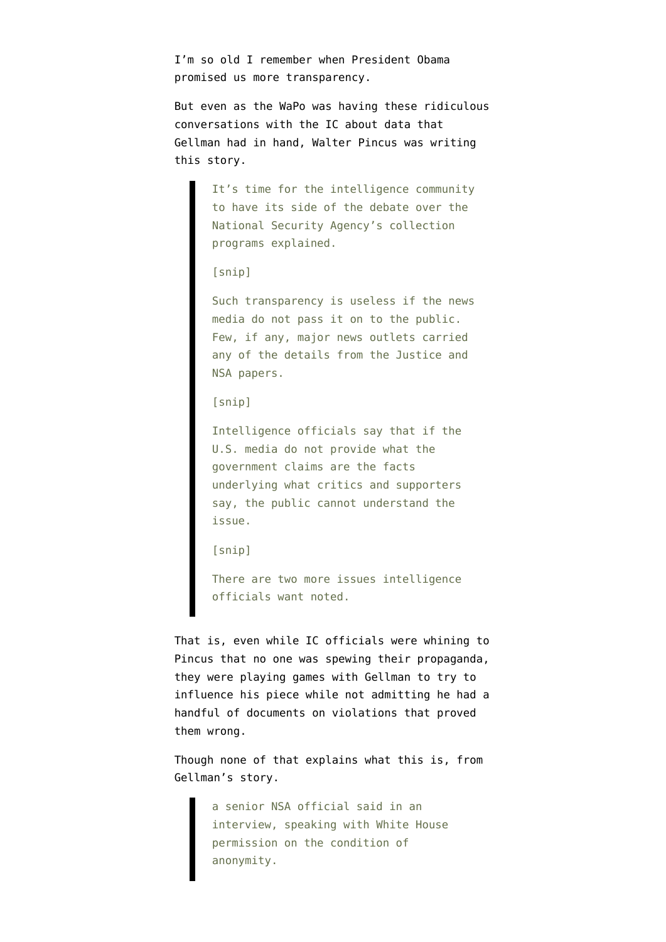I'm so old I remember when President Obama promised us more transparency.

But even as the WaPo was having these ridiculous conversations with the IC about data that Gellman had in hand, Walter Pincus [was writing](http://www.emptywheel.net/2013/08/15/there-are-two-more-issues-intelligence-officials-want-noted/) [this story.](http://www.emptywheel.net/2013/08/15/there-are-two-more-issues-intelligence-officials-want-noted/)

> It's time for the intelligence community to have its side of the debate over the National Security Agency's collection programs explained.

```
[snip]
```
Such transparency is useless if the news media do not pass it on to the public. Few, if any, major news outlets carried any of the details from the Justice and NSA papers.

[snip]

Intelligence officials say that if the U.S. media do not provide what the government claims are the facts underlying what critics and supporters say, the public cannot understand the issue.

[snip]

There are two more issues intelligence officials want noted.

That is, even while IC officials were whining to Pincus that no one was spewing their propaganda, they were playing games with Gellman to try to influence his piece while not admitting he had a handful of documents on violations that proved them wrong.

Though none of that explains what this is, from Gellman's story.

> a senior NSA official said in an interview, speaking with White House permission on the condition of anonymity.